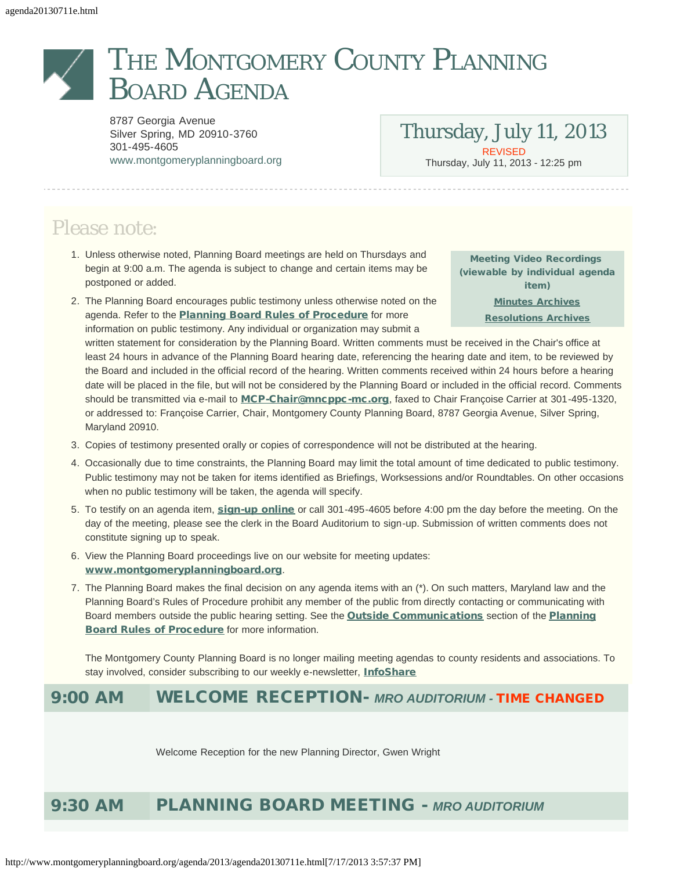# THE MONTGOMERY COUNTY PLANNING BOARD AGENDA

8787 Georgia Avenue Silver Spring, MD 20910-3760 301-495-4605 [www.montgomeryplanningboard.org](http://www.montgomeryplanningboard.org/)

Thursday, July 11, 2013 REVISED Thursday, July 11, 2013 - 12:25 pm

# Please note:

- 1. Unless otherwise noted, Planning Board meetings are held on Thursdays and begin at 9:00 a.m. The agenda is subject to change and certain items may be postponed or added.
- 2. The Planning Board encourages public testimony unless otherwise noted on the agenda. Refer to the **[Planning Board Rules of Procedure](http://www.montgomeryplanningboard.org/agenda/2007/documents/RulesFINAL3.21.07.pdf)** for more information on public testimony. Any individual or organization may submit a

Meeting Video Recordings (viewable by individual agenda item) [Minutes Archives](http://www.montgomeryplanningboard.org/minutes_archive/index.shtm) [Resolutions Archives](http://www.montgomeryplanningboard.org/resolutions_archive/index.shtm)

written statement for consideration by the Planning Board. Written comments must be received in the Chair's office at least 24 hours in advance of the Planning Board hearing date, referencing the hearing date and item, to be reviewed by the Board and included in the official record of the hearing. Written comments received within 24 hours before a hearing date will be placed in the file, but will not be considered by the Planning Board or included in the official record. Comments should be transmitted via e-mail to [MCP-Chair@mncppc-mc.org](mailto:MCP-Chair@mncppc-mc.org), faxed to Chair Françoise Carrier at 301-495-1320, or addressed to: Françoise Carrier, Chair, Montgomery County Planning Board, 8787 Georgia Avenue, Silver Spring, Maryland 20910.

- 3. Copies of testimony presented orally or copies of correspondence will not be distributed at the hearing.
- 4. Occasionally due to time constraints, the Planning Board may limit the total amount of time dedicated to public testimony. Public testimony may not be taken for items identified as Briefings, Worksessions and/or Roundtables. On other occasions when no public testimony will be taken, the agenda will specify.
- 5. To testify on an agenda item, [sign-up online](http://www.montgomeryapps.org/planning_board/testify.asp) or call 301-495-4605 before 4:00 pm the day before the meeting. On the day of the meeting, please see the clerk in the Board Auditorium to sign-up. Submission of written comments does not constitute signing up to speak.
- 6. View the Planning Board proceedings live on our website for meeting updates: [www.montgomeryplanningboard.org](http://www.montgomeryplanningboard.org/).
- 7. The Planning Board makes the final decision on any agenda items with an (\*). On such matters, Maryland law and the Planning Board's Rules of Procedure prohibit any member of the public from directly contacting or communicating with Board members outside the public hearing setting. See the **[Outside Communications](http://www.montgomeryplanningboard.org/agenda/2007/documents/RulesofProcedure_outsidecommuns.pdf)** section of the **[Planning](http://www.montgomeryplanningboard.org/agenda/2007/documents/RulesFINAL3.21.07.pdf)** [Board Rules of Procedure](http://www.montgomeryplanningboard.org/agenda/2007/documents/RulesFINAL3.21.07.pdf) for more information.

The Montgomery County Planning Board is no longer mailing meeting agendas to county residents and associations. To stay involved, consider subscribing to our weekly e-newsletter, *[InfoShare](http://www.montgomeryplanningboard.org/outreach_center/infoshare/signup.shtm)* 

# 9:00 AM WELCOME RECEPTION- *MRO AUDITORIUM -* TIME CHANGED

Welcome Reception for the new Planning Director, Gwen Wright

# 9:30 AM PLANNING BOARD MEETING - *MRO AUDITORIUM*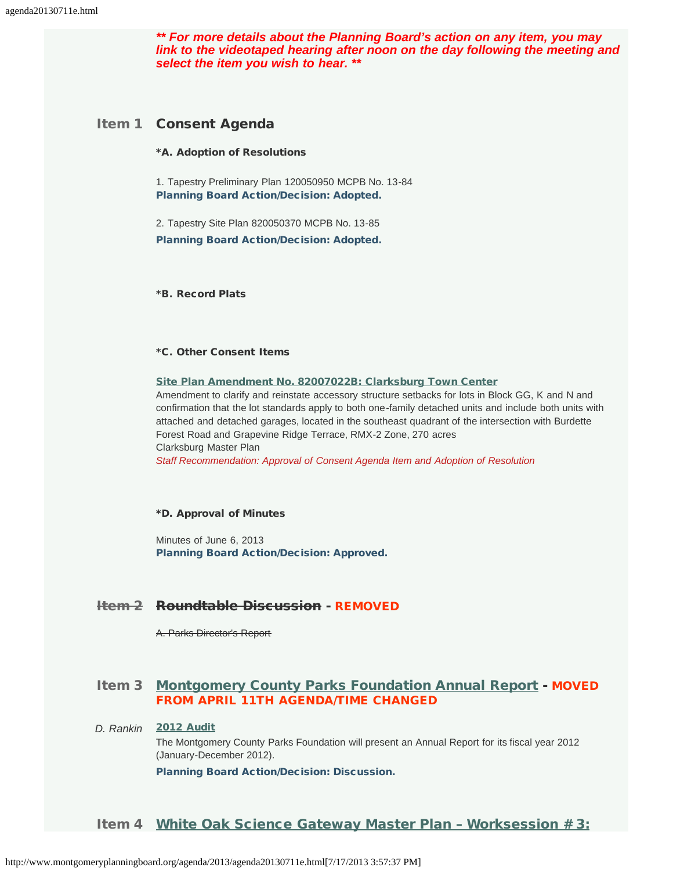*\*\* For more details about the Planning Board's action on any item, you may link to the videotaped hearing after noon on the day following the meeting and select the item you wish to hear. \*\**

### Item 1 Consent Agenda

#### \*A. Adoption of Resolutions

1. Tapestry Preliminary Plan 120050950 MCPB No. 13-84 Planning Board Action/Decision: Adopted.

2. Tapestry Site Plan 820050370 MCPB No. 13-85 Planning Board Action/Decision: Adopted.

\*B. Record Plats

#### \*C. Other Consent Items

#### [Site Plan Amendment No. 82007022B: Clarksburg Town Center](http://www.montgomeryplanningboard.org/agenda/2013/documents/20130711StaffReportBAmendment.pdf)

Amendment to clarify and reinstate accessory structure setbacks for lots in Block GG, K and N and confirmation that the lot standards apply to both one-family detached units and include both units with attached and detached garages, located in the southeast quadrant of the intersection with Burdette Forest Road and Grapevine Ridge Terrace, RMX-2 Zone, 270 acres Clarksburg Master Plan

*Staff Recommendation: Approval of Consent Agenda Item and Adoption of Resolution*

#### \*D. Approval of Minutes

Minutes of June 6, 2013 Planning Board Action/Decision: Approved.

# Item 2 Roundtable Discussion - REMOVED

A. Parks Director's Report

# Item 3 [Montgomery County Parks Foundation Annual Report](http://www.montgomeryplanningboard.org/agenda/2013/documents/item3Briefingmemo-July112013.pdf) - MOVED FROM APRIL 11TH AGENDA/TIME CHANGED

#### *D. Rankin* [2012 Audit](http://www.montgomeryplanningboard.org/agenda/2013/documents/item3MCPF2012Audit.pdf)

The Montgomery County Parks Foundation will present an Annual Report for its fiscal year 2012 (January-December 2012).

Planning Board Action/Decision: Discussion.

#### Item 4 White Oak Science Gateway Master Plan - Worksession # 3: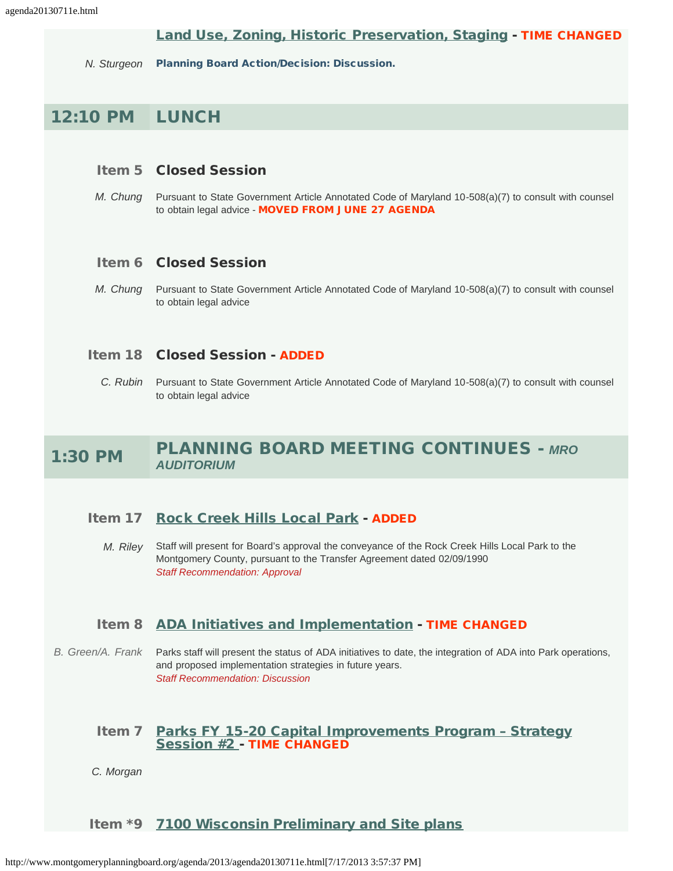# [Land Use, Zoning, Historic Preservation, Staging](http://www.montgomeryplanningboard.org/agenda/2013/documents/20130711WhiteOakWorksession3StaffReportFinal_000.pdf) - TIME CHANGED

*N. Sturgeon* Planning Board Action/Decision: Discussion.

# 12:10 PM LUNCH

# Item 5 Closed Session

*M. Chung* Pursuant to State Government Article Annotated Code of Maryland 10-508(a)(7) to consult with counsel to obtain legal advice - MOVED FROM JUNE 27 AGENDA

# Item 6 Closed Session

*M. Chung* Pursuant to State Government Article Annotated Code of Maryland 10-508(a)(7) to consult with counsel to obtain legal advice

# Item 18 Closed Session - ADDED

*C. Rubin* Pursuant to State Government Article Annotated Code of Maryland 10-508(a)(7) to consult with counsel to obtain legal advice

# 1:30 PM PLANNING BOARD MEETING CONTINUES - *MRO AUDITORIUM*

# Item 17 [Rock Creek Hills Local Park](http://www.montgomeryplanningboard.org/agenda/2013/documents/20130711item17m-Board_open130711_000.pdf) - ADDED

*M. Riley* Staff will present for Board's approval the conveyance of the Rock Creek Hills Local Park to the Montgomery County, pursuant to the Transfer Agreement dated 02/09/1990 *Staff Recommendation: Approval*

# Item 8 [ADA Initiatives and Implementation](http://www.montgomeryplanningboard.org/agenda/2013/documents/20130711item8memo_002.pdf) - TIME CHANGED

*B. Green/A. Frank* Parks staff will present the status of ADA initiatives to date, the integration of ADA into Park operations, and proposed implementation strategies in future years. *Staff Recommendation: Discussion*

# Item 7 Parks FY 15-20 Capital Improvements Program - Strategy [Session #2 -](http://www.montgomeryplanningboard.org/agenda/2013/documents/20130711item7img-703094129-0001_000.pdf) TIME CHANGED

*C. Morgan*

# Item \*9 [7100 Wisconsin Preliminary and Site plans](http://www.montgomeryplanningboard.org/agenda/2013/documents/201307117100combinedstaffreport_001.pdf)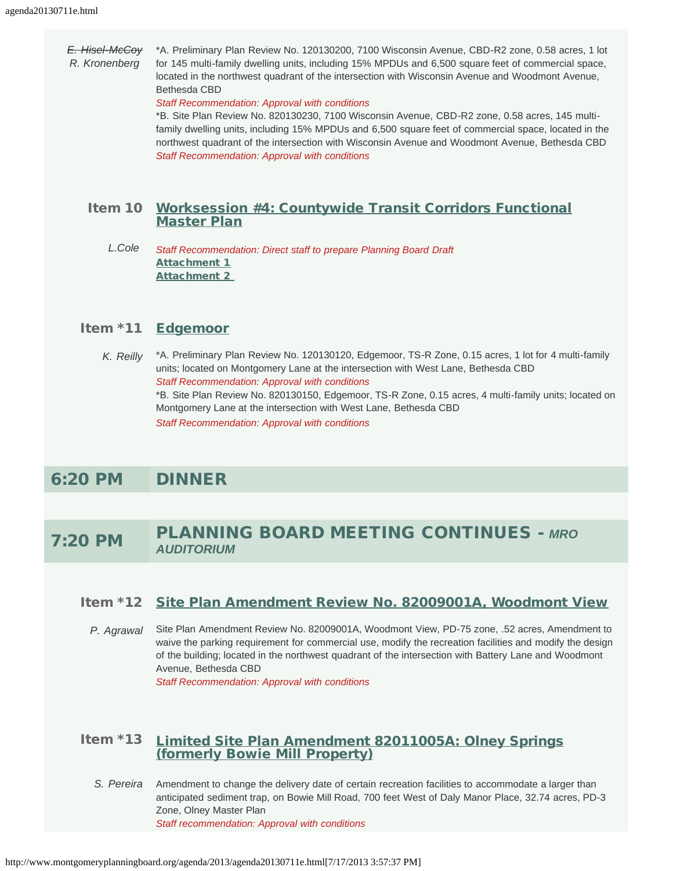*E. Hisel-McCoy R. Kronenberg* 

\*A. Preliminary Plan Review No. 120130200, 7100 Wisconsin Avenue, CBD-R2 zone, 0.58 acres, 1 lot for 145 multi-family dwelling units, including 15% MPDUs and 6,500 square feet of commercial space, located in the northwest quadrant of the intersection with Wisconsin Avenue and Woodmont Avenue, Bethesda CBD

#### *Staff Recommendation: Approval with conditions*

\*B. Site Plan Review No. 820130230, 7100 Wisconsin Avenue, CBD-R2 zone, 0.58 acres, 145 multifamily dwelling units, including 15% MPDUs and 6,500 square feet of commercial space, located in the northwest quadrant of the intersection with Wisconsin Avenue and Woodmont Avenue, Bethesda CBD *Staff Recommendation: Approval with conditions*

# Item 10 [Worksession #4: Countywide Transit Corridors Functional](http://www.montgomeryplanningboard.org/agenda/2013/documents/20130711mmotoMCPBreBRTworksession4on7-11-13.pdf) [Master Plan](http://www.montgomeryplanningboard.org/agenda/2013/documents/20130711mmotoMCPBreBRTworksession4on7-11-13.pdf)

*L.Cole Staff Recommendation: Direct staff to prepare Planning Board Draft* [Attachment 1](http://www.montgomeryplanningboard.org/agenda/2013/documents/20130711CTCFMPredlinepublichearingdraft7-2-13-Attachment12.pdf) [Attachment 2](http://www.montgomeryplanningboard.org/agenda/2013/documents/20130711CTCFMPcleanrevisedpublichearingdraft7-2-13-Attachment22.pdf) 

# Item \*11 [Edgemoor](http://www.montgomeryplanningboard.org/agenda/2013/documents/20130711edgemoorstaffreport120130120_820130150.pdf)

*K. Reilly* \*A. Preliminary Plan Review No. 120130120, Edgemoor, TS-R Zone, 0.15 acres, 1 lot for 4 multi-family units; located on Montgomery Lane at the intersection with West Lane, Bethesda CBD *Staff Recommendation: Approval with conditions* \*B. Site Plan Review No. 820130150, Edgemoor, TS-R Zone, 0.15 acres, 4 multi-family units; located on Montgomery Lane at the intersection with West Lane, Bethesda CBD *Staff Recommendation: Approval with conditions*

# 6:20 PM DINNER

# 7:20 PM PLANNING BOARD MEETING CONTINUES - *MRO AUDITORIUM*

# Item \*12 [Site Plan Amendment Review No. 82009001A, Woodmont View](http://www.montgomeryplanningboard.org/agenda/2013/documents/2013071182009001AWoodmontViewFinalReport.pdf)

*P. Agrawal* Site Plan Amendment Review No. 82009001A, Woodmont View, PD-75 zone, .52 acres, Amendment to waive the parking requirement for commercial use, modify the recreation facilities and modify the design of the building; located in the northwest quadrant of the intersection with Battery Lane and Woodmont Avenue, Bethesda CBD

*Staff Recommendation: Approval with conditions*

# Item \*13 [Limited Site Plan Amendment 82011005A: Olney Springs](http://www.montgomeryplanningboard.org/agenda/2013/documents/2013071182011005ALimitedStaffReportrevised_000.pdf) [\(formerly Bowie Mill Property\)](http://www.montgomeryplanningboard.org/agenda/2013/documents/2013071182011005ALimitedStaffReportrevised_000.pdf)

*S. Pereira* Amendment to change the delivery date of certain recreation facilities to accommodate a larger than anticipated sediment trap, on Bowie Mill Road, 700 feet West of Daly Manor Place, 32.74 acres, PD-3 Zone, Olney Master Plan *Staff recommendation: Approval with conditions* 

http://www.montgomeryplanningboard.org/agenda/2013/agenda20130711e.html[7/17/2013 3:57:37 PM]